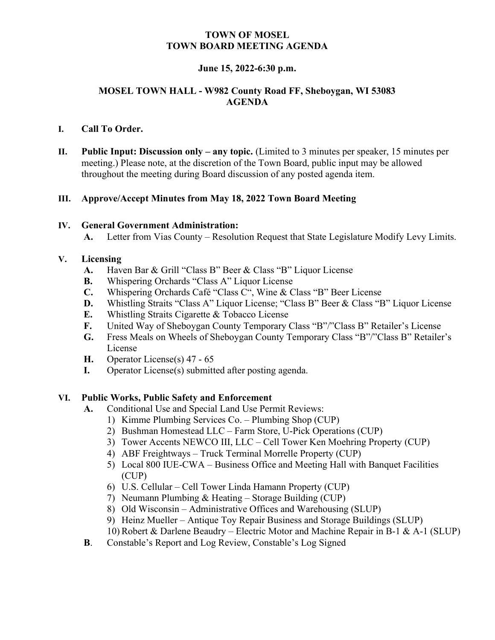# TOWN OF MOSEL TOWN BOARD MEETING AGENDA

# June 15, 2022-6:30 p.m.

# MOSEL TOWN HALL - W982 County Road FF, Sheboygan, WI 53083 AGENDA

## I. Call To Order.

II. Public Input: Discussion only – any topic. (Limited to 3 minutes per speaker, 15 minutes per meeting.) Please note, at the discretion of the Town Board, public input may be allowed throughout the meeting during Board discussion of any posted agenda item.

### III. Approve/Accept Minutes from May 18, 2022 Town Board Meeting

### IV. General Government Administration:

A. Letter from Vias County – Resolution Request that State Legislature Modify Levy Limits.

### V. Licensing

- A. Haven Bar & Grill "Class B" Beer & Class "B" Liquor License
- B. Whispering Orchards "Class A" Liquor License
- C. Whispering Orchards Café "Class C", Wine & Class "B" Beer License
- D. Whistling Straits "Class A" Liquor License; "Class B" Beer & Class "B" Liquor License
- E. Whistling Straits Cigarette & Tobacco License
- F. United Way of Sheboygan County Temporary Class "B"/"Class B" Retailer's License
- G. Fress Meals on Wheels of Sheboygan County Temporary Class "B"/"Class B" Retailer's License
- H. Operator License(s) 47 65
- I. Operator License(s) submitted after posting agenda.

### VI. Public Works, Public Safety and Enforcement

- A. Conditional Use and Special Land Use Permit Reviews:
	- 1) Kimme Plumbing Services Co. Plumbing Shop (CUP)
		- 2) Bushman Homestead LLC Farm Store, U-Pick Operations (CUP)
		- 3) Tower Accents NEWCO III, LLC Cell Tower Ken Moehring Property (CUP)
		- 4) ABF Freightways Truck Terminal Morrelle Property (CUP)
		- 5) Local 800 IUE-CWA Business Office and Meeting Hall with Banquet Facilities (CUP)
		- 6) U.S. Cellular Cell Tower Linda Hamann Property (CUP)
		- 7) Neumann Plumbing & Heating Storage Building (CUP)
		- 8) Old Wisconsin Administrative Offices and Warehousing (SLUP)
		- 9) Heinz Mueller Antique Toy Repair Business and Storage Buildings (SLUP)
	- 10) Robert & Darlene Beaudry Electric Motor and Machine Repair in B-1 & A-1 (SLUP)
- B. Constable's Report and Log Review, Constable's Log Signed